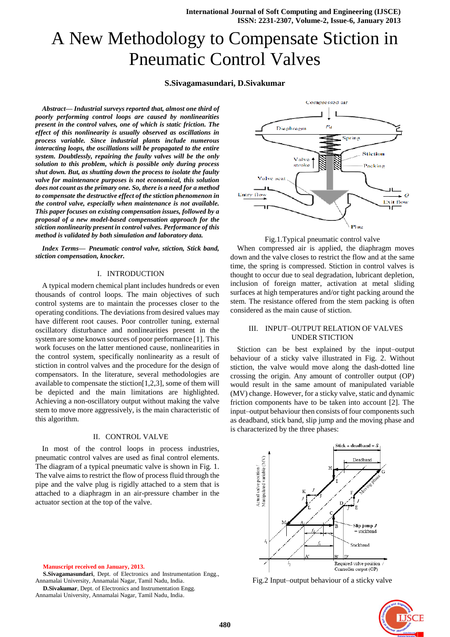# A New Methodology to Compensate Stiction in Pneumatic Control Valves

# **S.Sivagamasundari, D.Sivakumar**

*Abstract— Industrial surveys reported that, almost one third of poorly performing control loops are caused by nonlinearities present in the control valves, one of which is static friction. The effect of this nonlinearity is usually observed as oscillations in process variable. Since industrial plants include numerous interacting loops, the oscillations will be propagated to the entire system. Doubtlessly, repairing the faulty valves will be the only solution to this problem, which is possible only during process shut down. But, as shutting down the process to isolate the faulty valve for maintenance purposes is not economical, this solution does not count as the primary one. So, there is a need for a method to compensate the destructive effect of the stiction phenomenon in the control valve, especially when maintenance is not available. This paper focuses on existing compensation issues, followed by a proposal of a new model-based compensation approach for the stiction nonlinearity present in control valves. Performance of this method is validated by both simulation and laboratory data.*

*Index Terms— Pneumatic control valve, stiction, Stick band, stiction compensation, knocker.*

#### I. INTRODUCTION

A typical modern chemical plant includes hundreds or even thousands of control loops. The main objectives of such control systems are to maintain the processes closer to the operating conditions. The deviations from desired values may have different root causes. Poor controller tuning, external oscillatory disturbance and nonlinearities present in the system are some known sources of poor performance [1]. This work focuses on the latter mentioned cause, nonlinearities in the control system, specifically nonlinearity as a result of stiction in control valves and the procedure for the design of compensators. In the literature, several methodologies are available to compensate the stiction[1,2,3], some of them will be depicted and the main limitations are highlighted. Achieving a non-oscillatory output without making the valve stem to move more aggressively, is the main characteristic of this algorithm.

## II. CONTROL VALVE

In most of the control loops in process industries, pneumatic control valves are used as final control elements. The diagram of a typical pneumatic valve is shown in Fig. 1. The valve aims to restrict the flow of process fluid through the pipe and the valve plug is rigidly attached to a stem that is attached to a diaphragm in an air-pressure chamber in the actuator section at the top of the valve.

**Manuscript received on January, 2013.**

**S.Sivagamasundari**, Dept. of Electronics and Instrumentation Engg., Annamalai University, Annamalai Nagar, Tamil Nadu, India.

**D.Sivakumar**, Dept. of Electronics and Instrumentation Engg. Annamalai University, Annamalai Nagar, Tamil Nadu, India.





When compressed air is applied, the diaphragm moves down and the valve closes to restrict the flow and at the same time, the spring is compressed. Stiction in control valves is thought to occur due to seal degradation, lubricant depletion, inclusion of foreign matter, activation at metal sliding surfaces at high temperatures and/or tight packing around the stem. The resistance offered from the stem packing is often considered as the main cause of stiction.

# III. INPUT–OUTPUT RELATION OF VALVES UNDER STICTION

Stiction can be best explained by the input–output behaviour of a sticky valve illustrated in Fig. 2. Without stiction, the valve would move along the dash-dotted line crossing the origin. Any amount of controller output (OP) would result in the same amount of manipulated variable (MV) change. However, for a sticky valve, static and dynamic friction components have to be taken into account [2]. The input–output behaviour then consists of four components such as deadband, stick band, slip jump and the moving phase and is characterized by the three phases:



Fig.2 Input–output behaviour of a sticky valve

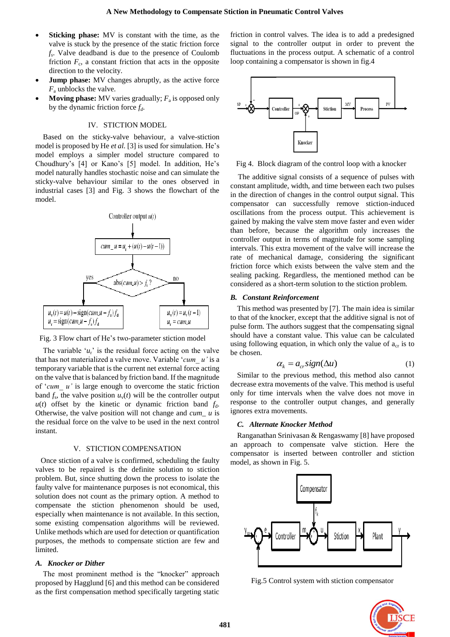- **Sticking phase:** MV is constant with the time, as the valve is stuck by the presence of the static friction force *fs* . Valve deadband is due to the presence of Coulomb friction  $F_c$ , a constant friction that acts in the opposite direction to the velocity.
- **Jump phase:** MV changes abruptly, as the active force *F*<sup>a</sup> unblocks the valve.
- **Moving phase:** MV varies gradually;  $F_a$  is opposed only by the dynamic friction force *fd*.

## IV. STICTION MODEL

Based on the sticky-valve behaviour, a valve-stiction model is proposed by He *et al.* [3] is used for simulation. He's model employs a simpler model structure compared to Choudhury's [4] or Kano's [5] model. In addition, He's model naturally handles stochastic noise and can simulate the sticky-valve behaviour similar to the ones observed in industrial cases [3] and Fig. 3 shows the flowchart of the model.





The variable  $u_r$  is the residual force acting on the valve that has not materialized a valve move. Variable "*cum\_ u'* is a temporary variable that is the current net external force acting on the valve that is balanced by friction band. If the magnitude of "*cum\_ u'* is large enough to overcome the static friction band  $f_s$ , the valve position  $u_v(t)$  will be the controller output  $u(t)$  offset by the kinetic or dynamic friction band  $f_d$ . Otherwise, the valve position will not change and *cum\_ u* is the residual force on the valve to be used in the next control instant.

#### V. STICTION COMPENSATION

Once stiction of a valve is confirmed, scheduling the faulty valves to be repaired is the definite solution to stiction problem. But, since shutting down the process to isolate the faulty valve for maintenance purposes is not economical, this solution does not count as the primary option. A method to compensate the stiction phenomenon should be used, especially when maintenance is not available. In this section, some existing compensation algorithms will be reviewed. Unlike methods which are used for detection or quantification purposes, the methods to compensate stiction are few and limited.

## *A. Knocker or Dither*

The most prominent method is the "knocker" approach proposed by Hagglund [6] and this method can be considered as the first compensation method specifically targeting static friction in control valves. The idea is to add a predesigned signal to the controller output in order to prevent the fluctuations in the process output. A schematic of a control loop containing a compensator is shown in fig.4



Fig 4. Block diagram of the control loop with a knocker

The additive signal consists of a sequence of pulses with constant amplitude, width, and time between each two pulses in the direction of changes in the control output signal. This compensator can successfully remove stiction-induced oscillations from the process output. This achievement is gained by making the valve stem move faster and even wider than before, because the algorithm only increases the controller output in terms of magnitude for some sampling intervals. This extra movement of the valve will increase the rate of mechanical damage, considering the significant friction force which exists between the valve stem and the sealing packing. Regardless, the mentioned method can be considered as a short-term solution to the stiction problem.

## *B. Constant Reinforcement*

This method was presented by [7]. The main idea is similar to that of the knocker, except that the additive signal is not of pulse form. The authors suggest that the compensating signal should have a constant value. This value can be calculated using following equation, in which only the value of  $a_{cr}$  is to be chosen.

$$
\alpha_k = a_{cr} sign(\Delta u) \tag{1}
$$

Similar to the previous method, this method also cannot decrease extra movements of the valve. This method is useful only for time intervals when the valve does not move in response to the controller output changes, and generally ignores extra movements.

## *C. Alternate Knocker Method*

Ranganathan Srinivasan & Rengaswamy [8] have proposed an approach to compensate valve stiction. Here the compensator is inserted between controller and stiction model, as shown in Fig. 5.



Fig.5 Control system with stiction compensator

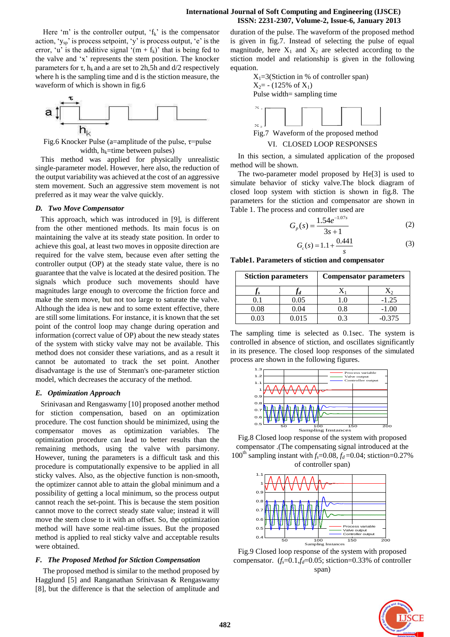Here 'm' is the controller output, ' $f_k$ ' is the compensator action,  $y_{sp}$  is process setpoint, 'y' is process output, 'e' is the error, 'u' is the additive signal ' $(m + f_k)$ ' that is being fed to the valve and "x" represents the stem position. The knocker parameters for  $\tau$ ,  $h_k$  and a are set to 2h,5h and d/2 respectively where h is the sampling time and d is the stiction measure, the waveform of which is shown in fig.6



Fig.6 Knocker Pulse (a=amplitude of the pulse,  $\tau$ =pulse width,  $h_k$ =time between pulses)

This method was applied for physically unrealistic single-parameter model. However, here also, the reduction of the output variability was achieved at the cost of an aggressive stem movement. Such an aggressive stem movement is not preferred as it may wear the valve quickly.

## *D. Two Move Compensator*

This approach, which was introduced in [9], is different from the other mentioned methods. Its main focus is on maintaining the valve at its steady state position. In order to achieve this goal, at least two moves in opposite direction are required for the valve stem, because even after setting the controller output (OP) at the steady state value, there is no guarantee that the valve is located at the desired position. The signals which produce such movements should have magnitudes large enough to overcome the friction force and make the stem move, but not too large to saturate the valve. Although the idea is new and to some extent effective, there are still some limitations. For instance, it is known that the set point of the control loop may change during operation and information (correct value of OP) about the new steady states of the system with sticky valve may not be available. This method does not consider these variations, and as a result it cannot be automated to track the set point. Another disadvantage is the use of Stenman's one-parameter stiction model, which decreases the accuracy of the method.

## *E. Optimization Approach*

Srinivasan and Rengaswamy [10] proposed another method for stiction compensation, based on an optimization procedure. The cost function should be minimized, using the compensator moves as optimization variables. The optimization procedure can lead to better results than the remaining methods, using the valve with parsimony. However, tuning the parameters is a difficult task and this procedure is computationally expensive to be applied in all sticky valves. Also, as the objective function is non-smooth, the optimizer cannot able to attain the global minimum and a possibility of getting a local minimum, so the process output cannot reach the set-point. This is because the stem position cannot move to the correct steady state value; instead it will move the stem close to it with an offset. So, the optimization method will have some real-time issues. But the proposed method is applied to real sticky valve and acceptable results were obtained.

## *F. The Proposed Method for Stiction Compensation*

The proposed method is similar to the method proposed by Hagglund [5] and Ranganathan Srinivasan & Rengaswamy [8], but the difference is that the selection of amplitude and duration of the pulse. The waveform of the proposed method is given in fig.7. Instead of selecting the pulse of equal magnitude, here  $X_1$  and  $X_2$  are selected according to the stiction model and relationship is given in the following equation.

 $X_1=3$ (Stiction in % of controller span)  $X_2$ = - (125% of  $X_1$ ) Pulse width= sampling time



Fig.7 Waveform of the proposed method

VI. CLOSED LOOP RESPONSES

In this section, a simulated application of the proposed method will be shown.

The two-parameter model proposed by He[3] is used to simulate behavior of sticky valve.The block diagram of closed loop system with stiction is shown in fig.8. The parameters for the stiction and compensator are shown in Table 1. The process and controller used are

$$
G_p(s) = \frac{1.54e^{-1.07s}}{3s + 1}
$$
 (2)

$$
G_c(s) = 1.1 + \frac{0.441}{s}
$$
 (3)

**Table1. Parameters of stiction and compensator**

| <b>Stiction parameters</b> |       | <b>Compensator parameters</b> |          |
|----------------------------|-------|-------------------------------|----------|
|                            |       |                               |          |
| O 1                        | 0.05  | 1.0                           | $-1.25$  |
| 0.08                       | 0.04  | 0.8                           | $-1.00$  |
| 0.03                       | 0.015 | 0.3                           | $-0.375$ |
|                            |       |                               |          |

The sampling time is selected as 0.1sec. The system is controlled in absence of stiction, and oscillates significantly in its presence. The closed loop responses of the simulated process are shown in the following figures.



Fig.8 Closed loop response of the system with proposed compensator .(The compensating signal introduced at the 100<sup>th</sup> sampling instant with  $f_s$ =0.08,  $f_d$ =0.04; stiction=0.27% of controller span)



Fig.9 Closed loop response of the system with proposed compensator.  $(f_s=0.1, f_d=0.05$ ; stiction=0.33% of controller span)

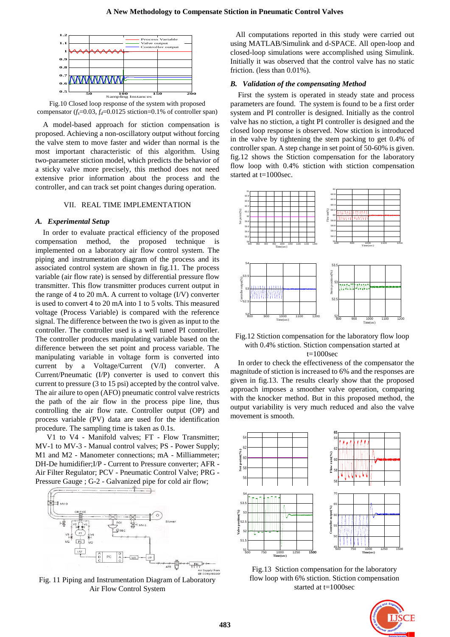

Fig.10 Closed loop response of the system with proposed compensator  $(f_s=0.03, f_d=0.0125$  stiction=0.1% of controller span)

A model-based approach for stiction compensation is proposed. Achieving a non-oscillatory output without forcing the valve stem to move faster and wider than normal is the most important characteristic of this algorithm. Using two-parameter stiction model, which predicts the behavior of a sticky valve more precisely, this method does not need extensive prior information about the process and the controller, and can track set point changes during operation.

### VII. REAL TIME IMPLEMENTATION

#### *A. Experimental Setup*

In order to evaluate practical efficiency of the proposed compensation method, the proposed technique is implemented on a laboratory air flow control system. The piping and instrumentation diagram of the process and its associated control system are shown in fig.11. The process variable (air flow rate) is sensed by differential pressure flow transmitter. This flow transmitter produces current output in the range of 4 to 20 mA. A current to voltage  $(I/V)$  converter is used to convert 4 to 20 mA into 1 to 5 volts. This measured voltage (Process Variable) is compared with the reference signal. The difference between the two is given as input to the controller. The controller used is a well tuned PI controller. The controller produces manipulating variable based on the difference between the set point and process variable. The manipulating variable in voltage form is converted into current by a Voltage/Current (V/I) converter. A Current/Pneumatic (I/P) converter is used to convert this current to pressure (3 to 15 psi) accepted by the control valve. The air ailure to open (AFO) pneumatic control valve restricts the path of the air flow in the process pipe line, thus controlling the air flow rate. Controller output (OP) and process variable (PV) data are used for the identification procedure. The sampling time is taken as 0.1s.

V1 to V4 - Manifold valves; FT - Flow Transmitter; MV-1 to MV-3 - Manual control valves; PS - Power Supply; M1 and M2 - Manometer connections; mA - Milliammeter; DH-De humidifier;I/P - Current to Pressure converter; AFR - Air Filter Regulator; PCV - Pneumatic Control Valve; PRG - Pressure Gauge ; G-2 - Galvanized pipe for cold air flow;



Fig. 11 Piping and Instrumentation Diagram of Laboratory Air Flow Control System

All computations reported in this study were carried out using MATLAB/Simulink and d-SPACE. All open-loop and closed-loop simulations were accomplished using Simulink. Initially it was observed that the control valve has no static friction. (less than 0.01%).

#### *B. Validation of the compensating Method*

First the system is operated in steady state and process parameters are found. The system is found to be a first order system and PI controller is designed. Initially as the control valve has no stiction, a tight PI controller is designed and the closed loop response is observed. Now stiction is introduced in the valve by tightening the stem packing to get 0.4% of controller span. A step change in set point of 50-60% is given. fig.12 shows the Stiction compensation for the laboratory flow loop with 0.4% stiction with stiction compensation started at t=1000sec.



Fig.12 Stiction compensation for the laboratory flow loop with 0.4% stiction. Stiction compensation started at  $t=1000$ sec

In order to check the effectiveness of the compensator the magnitude of stiction is increased to 6% and the responses are given in fig.13. The results clearly show that the proposed approach imposes a smoother valve operation, comparing with the knocker method. But in this proposed method, the output variability is very much reduced and also the valve movement is smooth.



Fig.13 Stiction compensation for the laboratory flow loop with 6% stiction. Stiction compensation started at t=1000sec